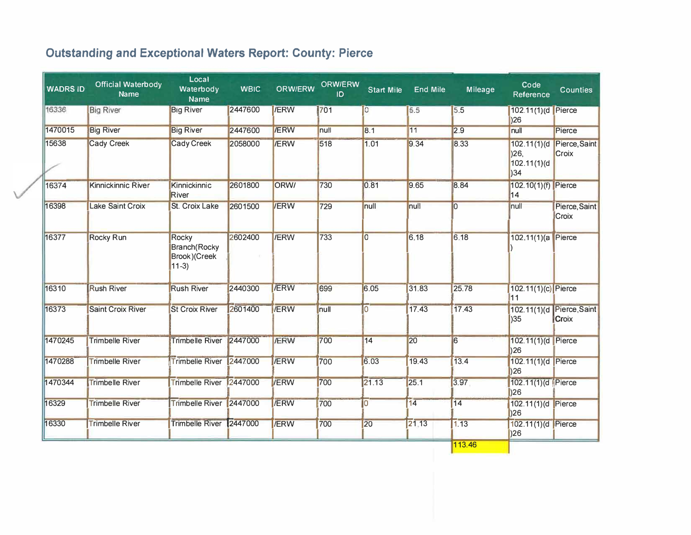## **Outstanding and Exceptional Waters Report: County: Pierce**

| <b>WADRS ID</b> | <b>Official Waterbody</b><br><b>Name</b> | Local<br>Waterbody<br><b>Name</b>                        | <b>WBIC</b> | <b>ORW/ERW</b> | <b>ORW/ERW</b><br>ID | <b>Start Mile</b> | <b>End Mile</b> | Mileage        | Code<br>Reference                          | <b>Counties</b>               |
|-----------------|------------------------------------------|----------------------------------------------------------|-------------|----------------|----------------------|-------------------|-----------------|----------------|--------------------------------------------|-------------------------------|
| 16336           | <b>Big River</b>                         | <b>Big River</b>                                         | 2447600     | <b>/ERW</b>    | 701                  | $\overline{O}$    | 5.5             | 5.5            | 102.11(1)(d Pierce<br> 26                  |                               |
| 1470015         | <b>Big River</b>                         | <b>Big River</b>                                         | 2447600     | <b>/ERW</b>    | null                 | 8.1               | 11              | 2.9            | null                                       | Pierce                        |
| 15638           | <b>Cady Creek</b>                        | <b>Cady Creek</b>                                        | 2058000     | <b>/ERW</b>    | 518                  | 1.01              | 9.34            | 8.33           | 102.11(1)(d)<br> 26 <br>102.11(1)(d<br> 34 | Pierce, Saint<br><b>Croix</b> |
| 16374           | <b>Kinnickinnic River</b>                | Kinnickinnic<br><b>River</b>                             | 2601800     | ORW/           | 730                  | 0.81              | 9.65            | 8.84           | 102.10(1)(f) Pierce<br>14                  |                               |
| 16398           | <b>Lake Saint Croix</b>                  | <b>St. Croix Lake</b>                                    | 2601500     | <b>/ERW</b>    | 729                  | null              | null            | $\overline{0}$ | null                                       | Pierce, Saint<br>Croix        |
| 16377           | <b>Rocky Run</b>                         | Rocky<br><b>Branch</b> (Rocky<br>Brook)(Creek<br>$11-3)$ | 2602400     | <b>IERW</b>    | 733                  | $\overline{0}$    | 6.18            | 6.18           | 102.11(1)(a)                               | Pierce                        |
| 16310           | <b>Rush River</b>                        | <b>Rush River</b>                                        | 2440300     | <b>/ERW</b>    | 699                  | 6.05              | 31.83           | 25.78          | 102.11(1)(c) Pierce<br>11                  |                               |
| 16373           | <b>Saint Croix River</b>                 | <b>St Croix River</b>                                    | 2601400     | <b>/ERW</b>    | null                 | lO.               | 17.43           | 17.43          | 102.11(1)(d)<br> 35                        | Pierce, Saint<br><b>Croix</b> |
| 1470245         | <b>Trimbelle River</b>                   | <b>Trimbelle River</b>                                   | 2447000     | <b>/ERW</b>    | 700                  | $\overline{14}$   | 20              | 6              | 102.11(1)(d Pierce<br> 26                  |                               |
| 1470288         | <b>Trimbelle River</b>                   | <b>Trimbelle River</b>                                   | 2447000     | <b>/ERW</b>    | 700                  | 6.03              | 19.43           | 13.4           | 102.11(1)(d Pierce<br> 26                  |                               |
| 1470344         | <b>Trimbelle River</b>                   | <b>Trimbelle River</b>                                   | 2447000     | <b>IERW</b>    | 700                  | 21.13             | 25.1            | 3.97           | 102.11(1)(d   Pierce<br> 26                |                               |
| 16329           | <b>Trimbelle River</b>                   | <b>Trimbelle River</b>                                   | 2447000     | <b>/ERW</b>    | 700                  | 10                | 14              | 14             | 102.11(1)(d Pierce<br> 26                  |                               |
| 16330           | <b>Trimbelle River</b>                   | <b>Trimbelle River</b>                                   | 2447000     | <b>/ERW</b>    | 700                  | 20                | 21.13           | 1.13           | 102.11(1)(d Pierce<br>)26                  |                               |
|                 |                                          |                                                          |             |                |                      |                   |                 | 113.46         |                                            |                               |